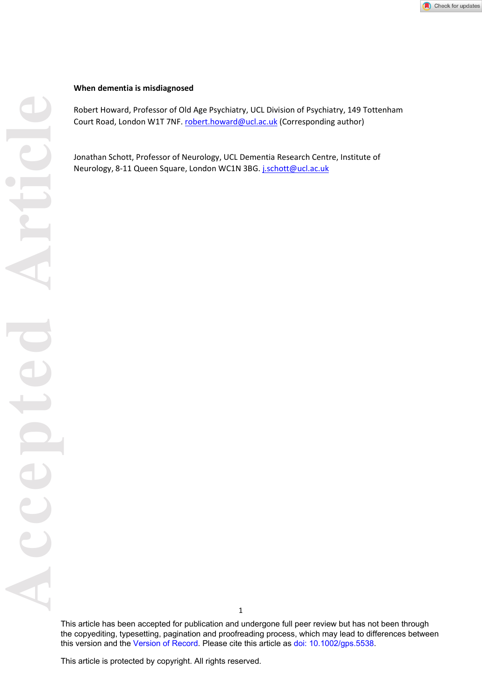#### **When dementia is misdiagnosed**

Robert Howard, Professor of Old Age Psychiatry, UCL Division of Psychiatry, 149 Tottenham Court Road, London W1T 7NF. robert.howard@ucl.ac.uk (Corresponding author)

Jonathan Schott, Professor of Neurology, UCL Dementia Research Centre, Institute of Neurology, 8-11 Queen Square, London WC1N 3BG. *j.schott@ucl.ac.uk* 

This article has been accepted for publication and undergone full peer review but has not been through the copyediting, typesetting, pagination and proofreading process, which may lead to differences between this version and the [Version of Record](https://doi.org/10.1002/gps.5538). Please cite this article as [doi: 10.1002/gps.5538.](https://doi.org/10.1002/gps.5538)

This article is protected by copyright. All rights reserved.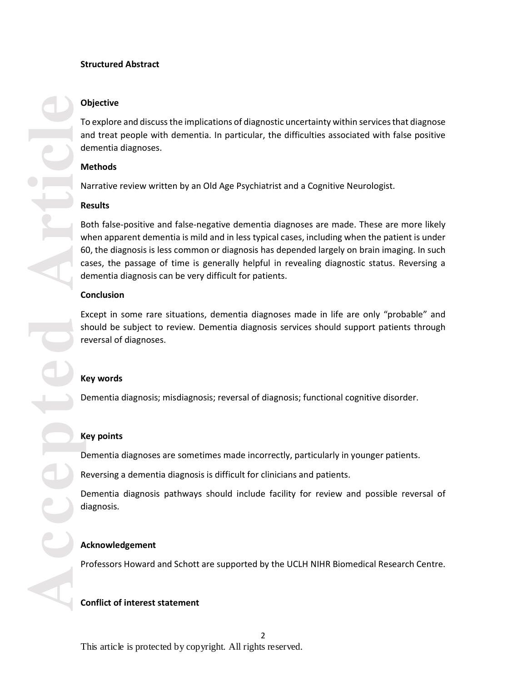### **Structured Abstract**

## **Objective**

To explore and discuss the implications of diagnostic uncertainty within services that diagnose and treat people with dementia. In particular, the difficulties associated with false positive dementia diagnoses.

### **Methods**

Narrative review written by an Old Age Psychiatrist and a Cognitive Neurologist.

## **Results**

Accepted **Article**<br>
Accepted Article<br>
Accepted Accepted Accepted Accepted Accepted Accepted Accepted Accepted Accepted Accepted Accepted Accepted Accepted Accepted Accepted Accepted Accepted Accepted Accepted Accepted Acce Both false-positive and false-negative dementia diagnoses are made. These are more likely when apparent dementia is mild and in less typical cases, including when the patient is under 60, the diagnosis is less common or diagnosis has depended largely on brain imaging. In such cases, the passage of time is generally helpful in revealing diagnostic status. Reversing a dementia diagnosis can be very difficult for patients.

## **Conclusion**

Except in some rare situations, dementia diagnoses made in life are only "probable" and should be subject to review. Dementia diagnosis services should support patients through reversal of diagnoses.

# **Key words**

Dementia diagnosis; misdiagnosis; reversal of diagnosis; functional cognitive disorder.

# **Key points**

Dementia diagnoses are sometimes made incorrectly, particularly in younger patients.

Reversing a dementia diagnosis is difficult for clinicians and patients.

Dementia diagnosis pathways should include facility for review and possible reversal of diagnosis.

# **Acknowledgement**

Professors Howard and Schott are supported by the UCLH NIHR Biomedical Research Centre.

# **Conflict of interest statement**

This article is protected by copyright. All rights reserved.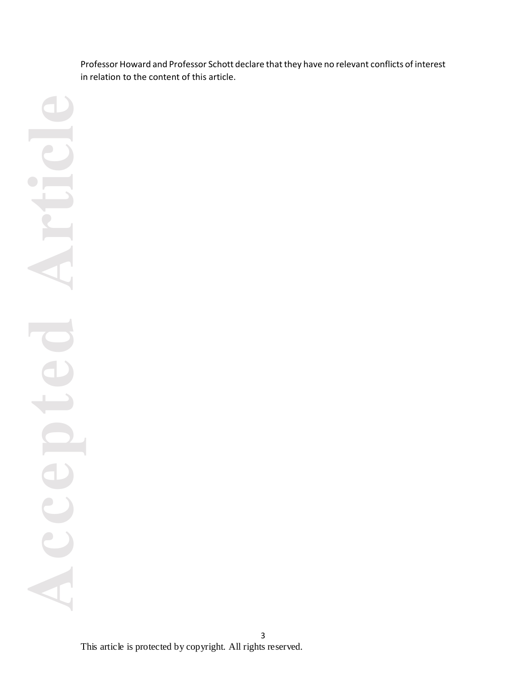Professor Howard and Professor Schott declare that they have no relevant conflicts of interest in relation to the content of this article.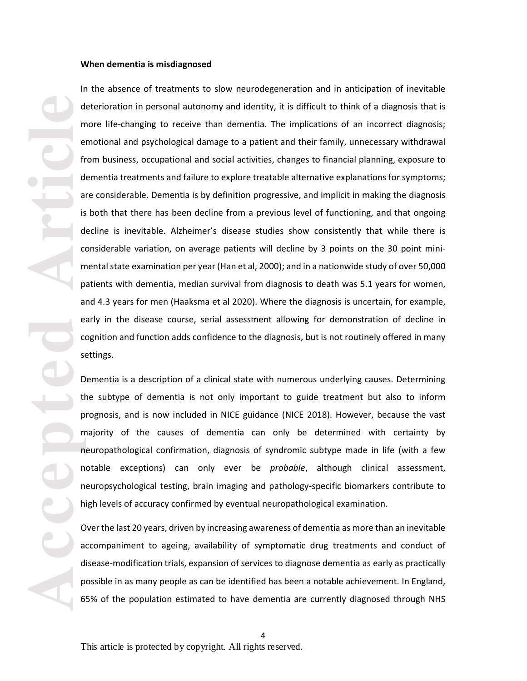#### **When dementia is misdiagnosed**

**Article**<br> **Article**<br> **Article**<br> **Article**<br> **Article**<br> **Article**<br> **Article**<br> **Article**<br> **Article**<br> **Article**<br> **Article**<br> **Article** In the absence of treatments to slow neurodegeneration and in anticipation of inevitable deterioration in personal autonomy and identity, it is difficult to think of a diagnosis that is more life-changing to receive than dementia. The implications of an incorrect diagnosis; emotional and psychological damage to a patient and their family, unnecessary withdrawal from business, occupational and social activities, changes to financial planning, exposure to dementia treatments and failure to explore treatable alternative explanations for symptoms; are considerable. Dementia is by definition progressive, and implicit in making the diagnosis is both that there has been decline from a previous level of functioning, and that ongoing decline is inevitable. Alzheimer's disease studies show consistently that while there is considerable variation, on average patients will decline by 3 points on the 30 point minimental state examination per year (Han et al, 2000); and in a nationwide study of over 50,000 patients with dementia, median survival from diagnosis to death was 5.1 years for women, and 4.3 years for men (Haaksma et al 2020). Where the diagnosis is uncertain, for example, early in the disease course, serial assessment allowing for demonstration of decline in cognition and function adds confidence to the diagnosis, but is not routinely offered in many settings.

Dementia is a description of a clinical state with numerous underlying causes. Determining the subtype of dementia is not only important to guide treatment but also to inform prognosis, and is now included in NICE guidance (NICE 2018). However, because the vast majority of the causes of dementia can only be determined with certainty by neuropathological confirmation, diagnosis of syndromic subtype made in life (with a few notable exceptions) can only ever be *probable*, although clinical assessment, neuropsychological testing, brain imaging and pathology-specific biomarkers contribute to high levels of accuracy confirmed by eventual neuropathological examination.

Over the last 20 years, driven by increasing awareness of dementia as more than an inevitable accompaniment to ageing, availability of symptomatic drug treatments and conduct of disease-modification trials, expansion of services to diagnose dementia as early as practically possible in as many people as can be identified has been a notable achievement. In England, 65% of the population estimated to have dementia are currently diagnosed through NHS

4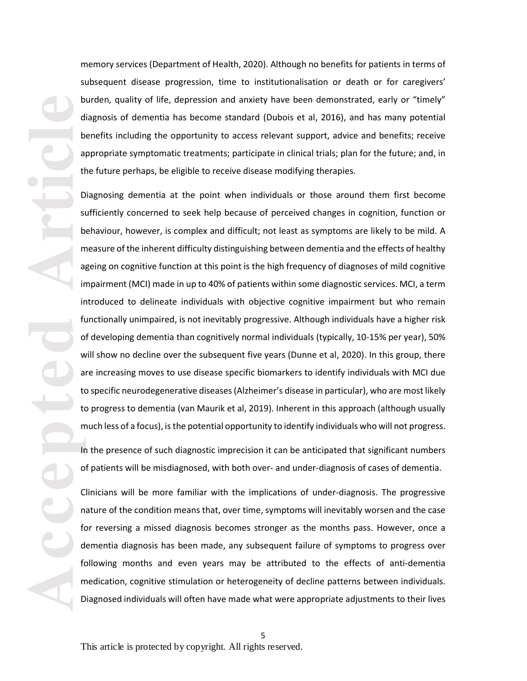memory services (Department of Health, 2020). Although no benefits for patients in terms of subsequent disease progression, time to institutionalisation or death or for caregivers' burden, quality of life, depression and anxiety have been demonstrated, early or "timely" diagnosis of dementia has become standard (Dubois et al, 2016), and has many potential benefits including the opportunity to access relevant support, advice and benefits; receive appropriate symptomatic treatments; participate in clinical trials; plan for the future; and, in the future perhaps, be eligible to receive disease modifying therapies.

**Article Contract on Article Contract on Article Contract on Article Contract on Article Contract on Article Contract on Article Contract on Article Contract on Article Contract on Article Contract on Article Contract on A** Diagnosing dementia at the point when individuals or those around them first become sufficiently concerned to seek help because of perceived changes in cognition, function or behaviour, however, is complex and difficult; not least as symptoms are likely to be mild. A measure of the inherent difficulty distinguishing between dementia and the effects of healthy ageing on cognitive function at this point is the high frequency of diagnoses of mild cognitive impairment (MCI) made in up to 40% of patients within some diagnostic services. MCI, a term introduced to delineate individuals with objective cognitive impairment but who remain functionally unimpaired, is not inevitably progressive. Although individuals have a higher risk of developing dementia than cognitively normal individuals (typically, 10-15% per year), 50% will show no decline over the subsequent five years (Dunne et al, 2020). In this group, there are increasing moves to use disease specific biomarkers to identify individuals with MCI due to specific neurodegenerative diseases (Alzheimer's disease in particular), who are most likely to progress to dementia (van Maurik et al, 2019). Inherent in this approach (although usually much less of a focus), is the potential opportunity to identify individuals who will not progress.

In the presence of such diagnostic imprecision it can be anticipated that significant numbers of patients will be misdiagnosed, with both over- and under-diagnosis of cases of dementia.

Clinicians will be more familiar with the implications of under-diagnosis. The progressive nature of the condition means that, over time, symptoms will inevitably worsen and the case for reversing a missed diagnosis becomes stronger as the months pass. However, once a dementia diagnosis has been made, any subsequent failure of symptoms to progress over following months and even years may be attributed to the effects of anti-dementia medication, cognitive stimulation or heterogeneity of decline patterns between individuals. Diagnosed individuals will often have made what were appropriate adjustments to their lives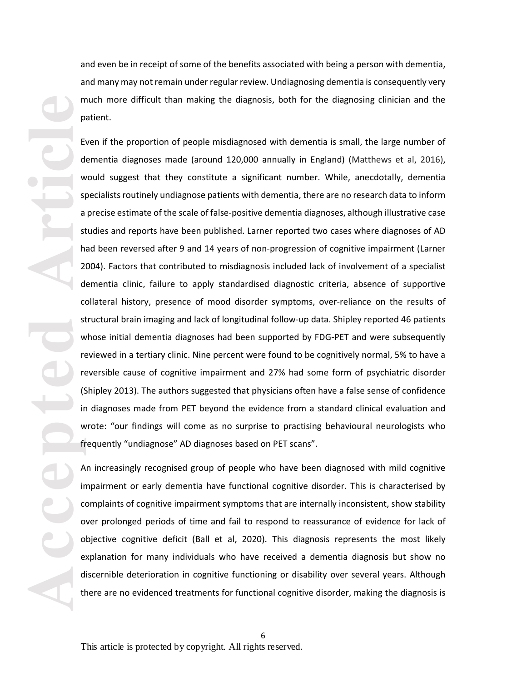and even be in receipt of some of the benefits associated with being a person with dementia, and many may not remain under regular review. Undiagnosing dementia is consequently very much more difficult than making the diagnosis, both for the diagnosing clinician and the patient.

**Article**<br> **Article**<br> **Article<br>
Article<br>
Article<br>
Article<br>
Article<br>
Article<br>
Article<br>
Article<br>
Article<br>
Article<br>
Article<br>
Article<br>
Article<br>
Article<br>
Article<br>
Article<br>
Article<br>
Article<br>
Article<br>
Article<br>
Article<br>
Article<br>
A** Even if the proportion of people misdiagnosed with dementia is small, the large number of dementia diagnoses made (around 120,000 annually in England) (Matthews et al, 2016), would suggest that they constitute a significant number. While, anecdotally, dementia specialists routinely undiagnose patients with dementia, there are no research data to inform a precise estimate of the scale of false-positive dementia diagnoses, although illustrative case studies and reports have been published. Larner reported two cases where diagnoses of AD had been reversed after 9 and 14 years of non-progression of cognitive impairment (Larner 2004). Factors that contributed to misdiagnosis included lack of involvement of a specialist dementia clinic, failure to apply standardised diagnostic criteria, absence of supportive collateral history, presence of mood disorder symptoms, over-reliance on the results of structural brain imaging and lack of longitudinal follow-up data. Shipley reported 46 patients whose initial dementia diagnoses had been supported by FDG-PET and were subsequently reviewed in a tertiary clinic. Nine percent were found to be cognitively normal, 5% to have a reversible cause of cognitive impairment and 27% had some form of psychiatric disorder (Shipley 2013). The authors suggested that physicians often have a false sense of confidence in diagnoses made from PET beyond the evidence from a standard clinical evaluation and wrote: "our findings will come as no surprise to practising behavioural neurologists who frequently "undiagnose" AD diagnoses based on PET scans".

An increasingly recognised group of people who have been diagnosed with mild cognitive impairment or early dementia have functional cognitive disorder. This is characterised by complaints of cognitive impairment symptoms that are internally inconsistent, show stability over prolonged periods of time and fail to respond to reassurance of evidence for lack of objective cognitive deficit (Ball et al, 2020). This diagnosis represents the most likely explanation for many individuals who have received a dementia diagnosis but show no discernible deterioration in cognitive functioning or disability over several years. Although there are no evidenced treatments for functional cognitive disorder, making the diagnosis is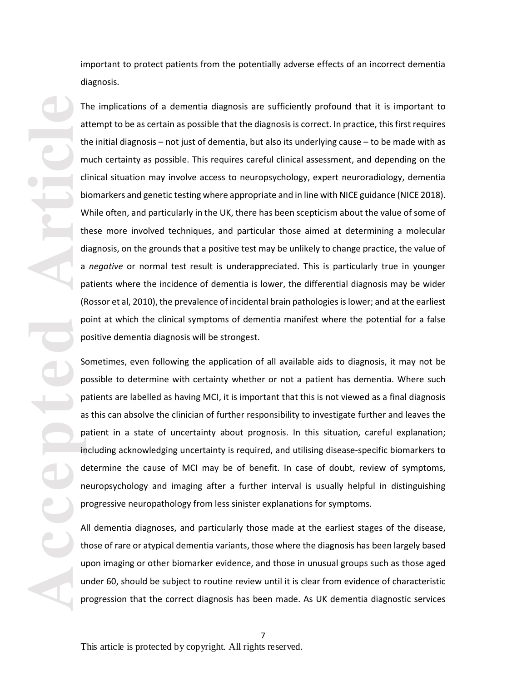important to protect patients from the potentially adverse effects of an incorrect dementia diagnosis.

**Article**<br>
Article<br>
Article<br>
Article<br>
Article<br>
Article<br>
Article<br>
Article<br>
Article<br>
Article<br>
Article<br>
Article<br>
Article<br>
Article<br>
Article<br>
Article<br>
Article<br>
Article<br>
Article<br>
Article<br>
Article<br>
Article<br>
Article<br>
Article<br>
Arti The implications of a dementia diagnosis are sufficiently profound that it is important to attempt to be as certain as possible that the diagnosis is correct. In practice, this first requires the initial diagnosis – not just of dementia, but also its underlying cause – to be made with as much certainty as possible. This requires careful clinical assessment, and depending on the clinical situation may involve access to neuropsychology, expert neuroradiology, dementia biomarkers and genetic testing where appropriate and in line with NICE guidance (NICE 2018). While often, and particularly in the UK, there has been scepticism about the value of some of these more involved techniques, and particular those aimed at determining a molecular diagnosis, on the grounds that a positive test may be unlikely to change practice, the value of a *negative* or normal test result is underappreciated. This is particularly true in younger patients where the incidence of dementia is lower, the differential diagnosis may be wider (Rossor et al, 2010), the prevalence of incidental brain pathologies is lower; and at the earliest point at which the clinical symptoms of dementia manifest where the potential for a false positive dementia diagnosis will be strongest.

Sometimes, even following the application of all available aids to diagnosis, it may not be possible to determine with certainty whether or not a patient has dementia. Where such patients are labelled as having MCI, it is important that this is not viewed as a final diagnosis as this can absolve the clinician of further responsibility to investigate further and leaves the patient in a state of uncertainty about prognosis. In this situation, careful explanation; including acknowledging uncertainty is required, and utilising disease-specific biomarkers to determine the cause of MCI may be of benefit. In case of doubt, review of symptoms, neuropsychology and imaging after a further interval is usually helpful in distinguishing progressive neuropathology from less sinister explanations for symptoms.

All dementia diagnoses, and particularly those made at the earliest stages of the disease, those of rare or atypical dementia variants, those where the diagnosis has been largely based upon imaging or other biomarker evidence, and those in unusual groups such as those aged under 60, should be subject to routine review until it is clear from evidence of characteristic progression that the correct diagnosis has been made. As UK dementia diagnostic services

7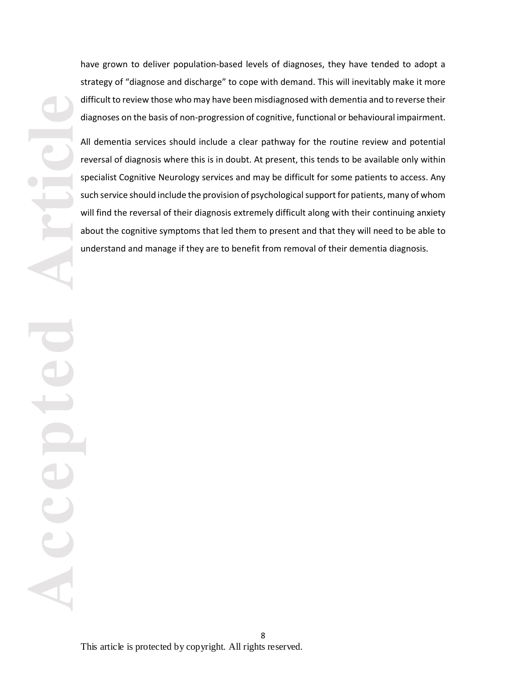have grown to deliver population-based levels of diagnoses, they have tended to adopt a strategy of "diagnose and discharge" to cope with demand. This will inevitably make it more difficult to review those who may have been misdiagnosed with dementia and to reverse their diagnoses on the basis of non-progression of cognitive, functional or behavioural impairment.

All dementia services should include a clear pathway for the routine review and potential reversal of diagnosis where this is in doubt. At present, this tends to be available only within specialist Cognitive Neurology services and may be difficult for some patients to access. Any such service should include the provision of psychological support for patients, many of whom will find the reversal of their diagnosis extremely difficult along with their continuing anxiety about the cognitive symptoms that led them to present and that they will need to be able to understand and manage if they are to benefit from removal of their dementia diagnosis.

**Accepted Article**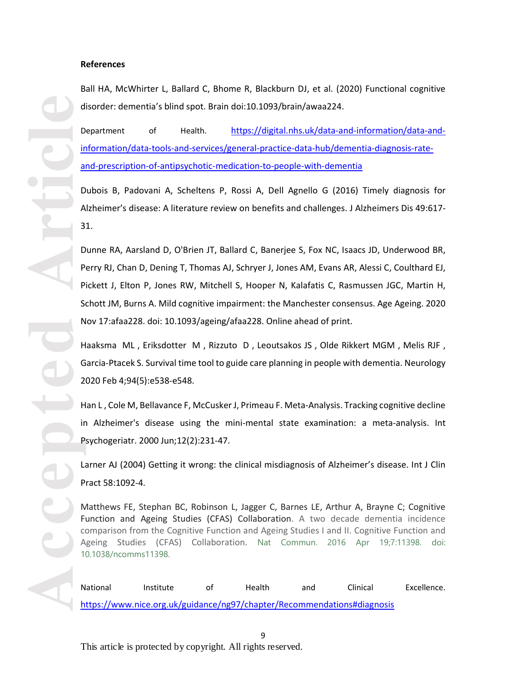#### **References**

Ball HA, McWhirter L, Ballard C, Bhome R, Blackburn DJ, et al. (2020) Functional cognitive disorder: dementia's blind spot. Brain doi:10.1093/brain/awaa224.

Department of Health. https://digital.nhs.uk/data-and-information/data-andinformation/data-tools-and-services/general-practice-data-hub/dementia-diagnosis-rateand-prescription-of-antipsychotic-medication-to-people-with-dementia

Dubois B, Padovani A, Scheltens P, Rossi A, Dell Agnello G (2016) Timely diagnosis for Alzheimer's disease: A literature review on benefits and challenges. J Alzheimers Dis 49:617- 31.

**Accepted Article**<br> **Article**<br> **Article**<br> **Article**<br> **Article**<br> **Article**<br> **Article**<br> **Article**<br> **Article** Dunne RA, Aarsland D, O'Brien JT, Ballard C, Banerjee S, Fox NC, Isaacs JD, Underwood BR, Perry RJ, Chan D, Dening T, Thomas AJ, Schryer J, Jones AM, Evans AR, Alessi C, Coulthard EJ, Pickett J, Elton P, Jones RW, Mitchell S, Hooper N, Kalafatis C, Rasmussen JGC, Martin H, Schott JM, Burns A. Mild cognitive impairment: the Manchester consensus. Age Ageing. 2020 Nov 17:afaa228. doi: 10.1093/ageing/afaa228. Online ahead of print.

Haaksma ML , Eriksdotter M , Rizzuto D , Leoutsakos JS , Olde Rikkert MGM , Melis RJF , Garcia-Ptacek S. Survival time tool to guide care planning in people with dementia. Neurology 2020 Feb 4;94(5):e538-e548.

Han L , Cole M, Bellavance F, McCusker J, Primeau F. Meta-Analysis. Tracking cognitive decline in Alzheimer's disease using the mini-mental state examination: a meta-analysis. Int Psychogeriatr. 2000 Jun;12(2):231-47.

Larner AJ (2004) Getting it wrong: the clinical misdiagnosis of Alzheimer's disease. Int J Clin Pract 58:1092-4.

Matthews FE, Stephan BC, Robinson L, Jagger C, Barnes LE, Arthur A, Brayne C; Cognitive Function and Ageing Studies (CFAS) Collaboration. A two decade dementia incidence comparison from the Cognitive Function and Ageing Studies I and II. Cognitive Function and Ageing Studies (CFAS) Collaboration. Nat Commun. 2016 Apr 19;7:11398. doi: 10.1038/ncomms11398.

National Institute of Health and Clinical Excellence. https://www.nice.org.uk/guidance/ng97/chapter/Recommendations#diagnosis

This article is protected by copyright. All rights reserved.